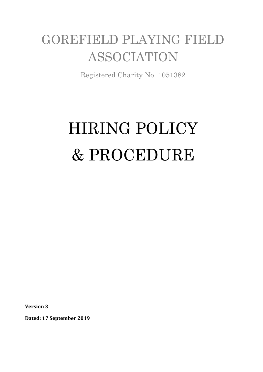# GOREFIELD PLAYING FIELD ASSOCIATION

Registered Charity No. 1051382

# HIRING POLICY & PROCEDURE

**Version 3**

**Dated: 17 September 2019**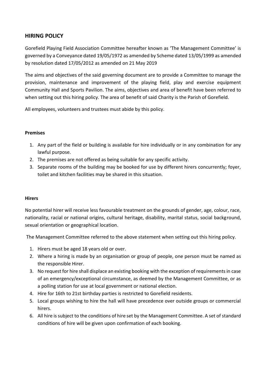## **HIRING POLICY**

Gorefield Playing Field Association Committee hereafter known as 'The Management Committee' is governed by a Conveyance dated 19/05/1972 as amended by Scheme dated 13/05/1999 as amended by resolution dated 17/05/2012 as amended on 21 May 2019

The aims and objectives of the said governing document are to provide a Committee to manage the provision, maintenance and improvement of the playing field, play and exercise equipment Community Hall and Sports Pavilion. The aims, objectives and area of benefit have been referred to when setting out this hiring policy. The area of benefit of said Charity is the Parish of Gorefield.

All employees, volunteers and trustees must abide by this policy.

#### **Premises**

- 1. Any part of the field or building is available for hire individually or in any combination for any lawful purpose.
- 2. The premises are not offered as being suitable for any specific activity.
- 3. Separate rooms of the building may be booked for use by different hirers concurrently; foyer, toilet and kitchen facilities may be shared in this situation.

#### **Hirers**

No potential hirer will receive less favourable treatment on the grounds of gender, age, colour, race, nationality, racial or national origins, cultural heritage, disability, marital status, social background, sexual orientation or geographical location.

The Management Committee referred to the above statement when setting out this hiring policy.

- 1. Hirers must be aged 18 years old or over.
- 2. Where a hiring is made by an organisation or group of people, one person must be named as the responsible Hirer.
- 3. No request for hire shall displace an existing booking with the exception of requirements in case of an emergency/exceptional circumstance, as deemed by the Management Committee, or as a polling station for use at local government or national election.
- 4. Hire for 16th to 21st birthday parties is restricted to Gorefield residents.
- 5. Local groups wishing to hire the hall will have precedence over outside groups or commercial hirers.
- 6. All hire is subject to the conditions of hire set by the Management Committee. A set of standard conditions of hire will be given upon confirmation of each booking.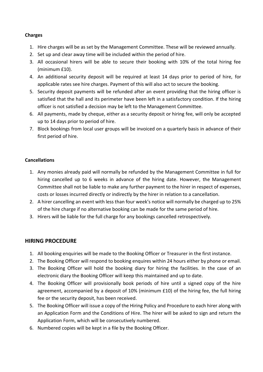#### **Charges**

- 1. Hire charges will be as set by the Management Committee. These will be reviewed annually.
- 2. Set up and clear away time will be included within the period of hire.
- 3. All occasional hirers will be able to secure their booking with 10% of the total hiring fee (minimum £10).
- 4. An additional security deposit will be required at least 14 days prior to period of hire, for applicable rates see hire charges. Payment of this will also act to secure the booking.
- 5. Security deposit payments will be refunded after an event providing that the hiring officer is satisfied that the hall and its perimeter have been left in a satisfactory condition. If the hiring officer is not satisfied a decision may be left to the Management Committee.
- 6. All payments, made by cheque, either as a security deposit or hiring fee, will only be accepted up to 14 days prior to period of hire.
- 7. Block bookings from local user groups will be invoiced on a quarterly basis in advance of their first period of hire.

#### **Cancellations**

- 1. Any monies already paid will normally be refunded by the Management Committee in full for hiring cancelled up to 6 weeks in advance of the hiring date. However, the Management Committee shall not be liable to make any further payment to the hirer in respect of expenses, costs or losses incurred directly or indirectly by the hirer in relation to a cancellation.
- 2. A hirer cancelling an event with less than four week's notice will normally be charged up to 25% of the hire charge if no alternative booking can be made for the same period of hire.
- 3. Hirers will be liable for the full charge for any bookings cancelled retrospectively.

### **HIRING PROCEDURE**

- 1. All booking enquiries will be made to the Booking Officer or Treasurer in the first instance.
- 2. The Booking Officer will respond to booking enquires within 24 hours either by phone or email.
- 3. The Booking Officer will hold the booking diary for hiring the facilities. In the case of an electronic diary the Booking Officer will keep this maintained and up to date.
- 4. The Booking Officer will provisionally book periods of hire until a signed copy of the hire agreement, accompanied by a deposit of 10% (minimum £10) of the hiring fee, the full hiring fee or the security deposit, has been received.
- 5. The Booking Officer will issue a copy of the Hiring Policy and Procedure to each hirer along with an Application Form and the Conditions of Hire. The hirer will be asked to sign and return the Application Form, which will be consecutively numbered.
- 6. Numbered copies will be kept in a file by the Booking Officer.